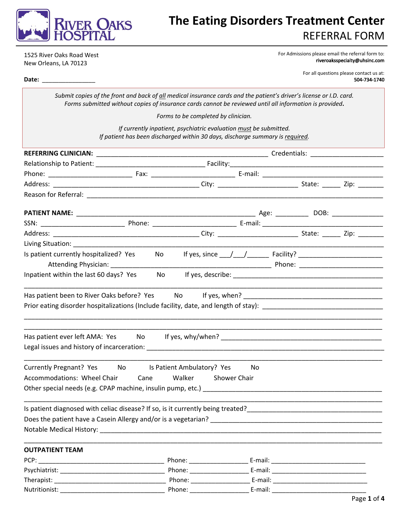

## **The Eating Disorders Treatment Center** REFERRAL FORM

1525 River Oaks Road West New Orleans, LA 70123

For Admissions please email the referral form to: [riveroaksspecialty@uhsinc.com](mailto:riveroaksspecialty@uhsinc.com)

> For all questions please contact us at: 504-734-1740

**Date:** \_\_\_\_\_\_\_\_\_\_\_\_\_\_\_\_

*Submit copies of the front and back of all medical insurance cards and the patient's driver's license or I.D. card. Forms submitted without copies of insurance cards cannot be reviewed until all information is provided***.** 

*Forms to be completed by clinician.* 

*If currently inpatient, psychiatric evaluation must be submitted. If patient has been discharged within 30 days, discharge summary is required.* 

| Is patient currently hospitalized? Yes                                            |      |           |        |  |                     |  |  |  |
|-----------------------------------------------------------------------------------|------|-----------|--------|--|---------------------|--|--|--|
| Inpatient within the last 60 days? Yes                                            |      | <b>No</b> |        |  |                     |  |  |  |
| Has patient ever left AMA: Yes No If yes, why/when? _____________________________ |      |           |        |  |                     |  |  |  |
| Currently Pregnant? Yes No Is Patient Ambulatory? Yes                             |      |           |        |  | No                  |  |  |  |
| Accommodations: Wheel Chair                                                       | Cane |           | Walker |  | <b>Shower Chair</b> |  |  |  |
|                                                                                   |      |           |        |  |                     |  |  |  |
|                                                                                   |      |           |        |  |                     |  |  |  |
|                                                                                   |      |           |        |  |                     |  |  |  |
|                                                                                   |      |           |        |  |                     |  |  |  |
|                                                                                   |      |           |        |  |                     |  |  |  |
| <b>OUTPATIENT TEAM</b>                                                            |      |           |        |  |                     |  |  |  |
|                                                                                   |      |           |        |  |                     |  |  |  |
|                                                                                   |      |           |        |  |                     |  |  |  |
|                                                                                   |      |           |        |  |                     |  |  |  |
| Nutritionist:                                                                     |      |           |        |  |                     |  |  |  |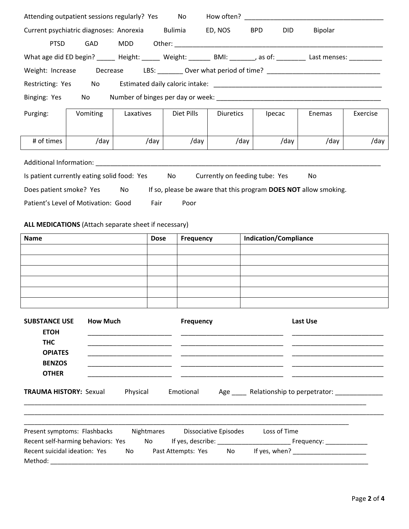|                                                                     |                 | Attending outpatient sessions regularly? Yes No How often? _____________________                                                                         |                  |                  |                                                                  |          |          |
|---------------------------------------------------------------------|-----------------|----------------------------------------------------------------------------------------------------------------------------------------------------------|------------------|------------------|------------------------------------------------------------------|----------|----------|
|                                                                     |                 | Current psychiatric diagnoses: Anorexia Bulimia                                                                                                          |                  | ED, NOS BPD      | <b>DID</b>                                                       | Bipolar  |          |
| <b>PTSD</b>                                                         | GAD             | MDD                                                                                                                                                      |                  |                  |                                                                  |          |          |
|                                                                     |                 | What age did ED begin? ______ Height: ______ Weight: _______ BMI: _______, as of: ________ Last menses: _________                                        |                  |                  |                                                                  |          |          |
| Weight: Increase                                                    |                 | Decrease LBS: _________ Over what period of time? ______________________________                                                                         |                  |                  |                                                                  |          |          |
| Restricting: Yes No                                                 |                 |                                                                                                                                                          |                  |                  |                                                                  |          |          |
| Binging: Yes No                                                     |                 |                                                                                                                                                          |                  |                  |                                                                  |          |          |
| Purging:                                                            | Vomiting        | Laxatives                                                                                                                                                | Diet Pills       | <b>Diuretics</b> | Ipecac                                                           | Enemas   | Exercise |
| # of times                                                          | /day            | /day                                                                                                                                                     | /day             | /day             | /day                                                             | /day     | /day     |
| Does patient smoke? Yes No<br>Patient's Level of Motivation: Good   |                 | Additional Information: National Additional Information:<br>Is patient currently eating solid food: Yes No Currently on feeding tube: Yes<br><b>Fair</b> | Poor             |                  | If so, please be aware that this program DOES NOT allow smoking. | No       |          |
| <b>Name</b>                                                         |                 | ALL MEDICATIONS (Attach separate sheet if necessary)<br><b>Dose</b>                                                                                      | Frequency        |                  | <b>Indication/Compliance</b>                                     |          |          |
|                                                                     |                 |                                                                                                                                                          |                  |                  |                                                                  |          |          |
|                                                                     |                 |                                                                                                                                                          |                  |                  |                                                                  |          |          |
|                                                                     |                 |                                                                                                                                                          |                  |                  |                                                                  |          |          |
|                                                                     |                 |                                                                                                                                                          |                  |                  |                                                                  |          |          |
| <b>SUBSTANCE USE</b><br><b>ETOH</b><br><b>THC</b><br><b>OPIATES</b> | <b>How Much</b> |                                                                                                                                                          | <b>Frequency</b> |                  |                                                                  | Last Use |          |
| <b>BENZOS</b><br><b>OTHER</b>                                       |                 |                                                                                                                                                          |                  |                  |                                                                  |          |          |
| <b>TRAUMA HISTORY: Sexual</b>                                       |                 | Physical                                                                                                                                                 | Emotional        |                  | Age Relationship to perpetrator:                                 |          |          |

| Present symptoms: Flashbacks       |     | <b>Nightmares</b> | Dissociative Episodes |     | Loss of Time  |
|------------------------------------|-----|-------------------|-----------------------|-----|---------------|
| Recent self-harming behaviors: Yes |     | No.               | If yes, describe:     |     | Frequency:    |
| Recent suicidal ideation: Yes      | No. |                   | Past Attempts: Yes    | No. | If yes, when? |
| Method:                            |     |                   |                       |     |               |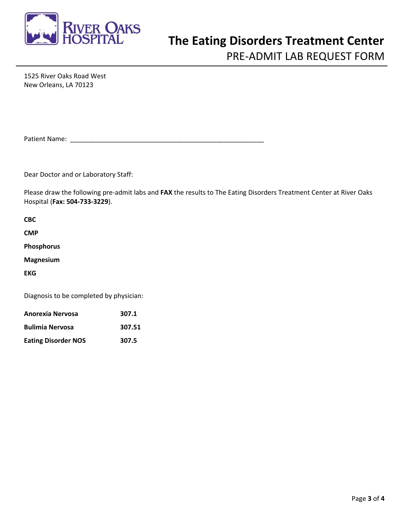

# **The Eating Disorders Treatment Center**

PRE-ADMIT LAB REQUEST FORM

1525 River Oaks Road West New Orleans, LA 70123

Patient Name: \_\_\_\_\_\_\_\_\_\_\_\_\_\_\_\_\_\_\_\_\_\_\_\_\_\_\_\_\_\_\_\_\_\_\_\_\_\_\_\_\_\_\_\_\_\_\_\_\_\_\_\_\_

Dear Doctor and or Laboratory Staff:

Please draw the following pre-admit labs and **FAX** the results to The Eating Disorders Treatment Center at River Oaks Hospital (**Fax: 504-733-3229**).

| <b>CBC</b>                              |       |
|-----------------------------------------|-------|
| <b>CMP</b>                              |       |
| <b>Phosphorus</b>                       |       |
| <b>Magnesium</b>                        |       |
| <b>EKG</b>                              |       |
| Diagnosis to be completed by physician: |       |
| Anorexia Nervosa                        | 307.1 |

| <b>Bulimia Nervosa</b>     | 307.51 |
|----------------------------|--------|
| <b>Eating Disorder NOS</b> | 307.5  |